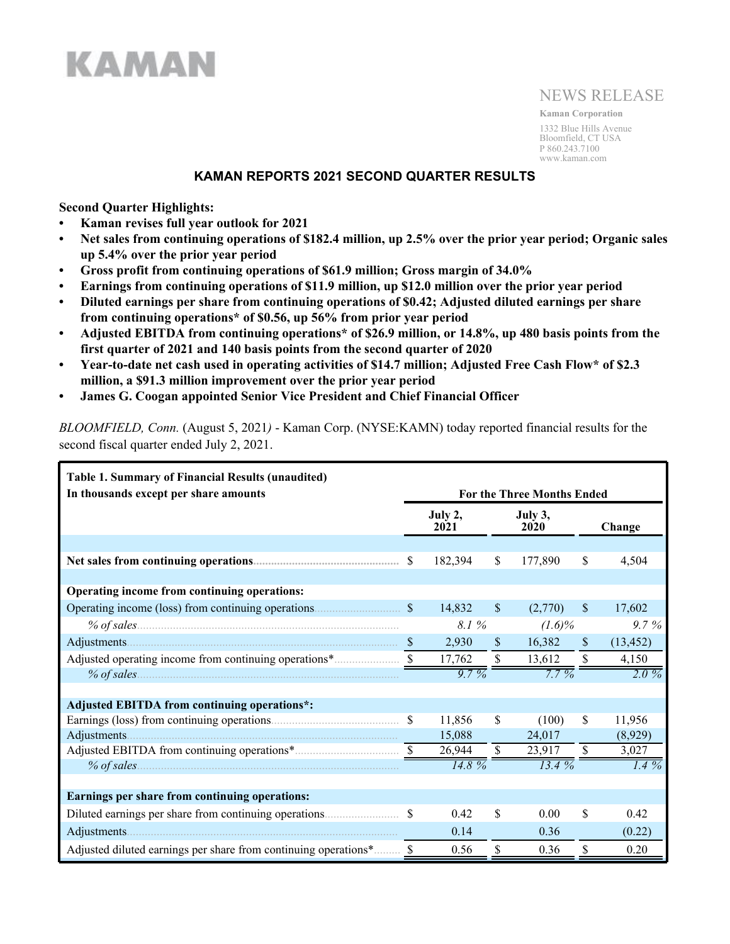

# NEWS RELEASE

**Kaman Corporation** 1332 Blue Hills Avenue Bloomfield, CT USA P 860.243.7100 www.kaman.com

### **KAMAN REPORTS 2021 SECOND QUARTER RESULTS**

**Second Quarter Highlights:**

- **• Kaman revises full year outlook for 2021**
- **• Net sales from continuing operations of \$182.4 million, up 2.5% over the prior year period; Organic sales up 5.4% over the prior year period**
- **• Gross profit from continuing operations of \$61.9 million; Gross margin of 34.0%**
- **• Earnings from continuing operations of \$11.9 million, up \$12.0 million over the prior year period**
- **• Diluted earnings per share from continuing operations of \$0.42; Adjusted diluted earnings per share from continuing operations\* of \$0.56, up 56% from prior year period**
- **• Adjusted EBITDA from continuing operations\* of \$26.9 million, or 14.8%, up 480 basis points from the first quarter of 2021 and 140 basis points from the second quarter of 2020**
- **• Year-to-date net cash used in operating activities of \$14.7 million; Adjusted Free Cash Flow\* of \$2.3 million, a \$91.3 million improvement over the prior year period**
- **• James G. Coogan appointed Senior Vice President and Chief Financial Officer**

*BLOOMFIELD, Conn.* (August 5, 2021*)* - Kaman Corp. (NYSE:KAMN) today reported financial results for the second fiscal quarter ended July 2, 2021.

| <b>Table 1. Summary of Financial Results (unaudited)</b> |              |                 |              |                                   |               |           |  |  |  |  |
|----------------------------------------------------------|--------------|-----------------|--------------|-----------------------------------|---------------|-----------|--|--|--|--|
| In thousands except per share amounts                    |              |                 |              | <b>For the Three Months Ended</b> |               |           |  |  |  |  |
|                                                          |              | July 2,<br>2021 |              | July 3,<br>2020                   |               | Change    |  |  |  |  |
|                                                          |              |                 |              |                                   |               |           |  |  |  |  |
|                                                          | <sup>S</sup> | 182,394         | \$           | 177,890                           | \$            | 4,504     |  |  |  |  |
|                                                          |              |                 |              |                                   |               |           |  |  |  |  |
| Operating income from continuing operations:             |              |                 |              |                                   |               |           |  |  |  |  |
| Operating income (loss) from continuing operations.      | <sup>S</sup> | 14,832          | $\mathbb{S}$ | (2,770)                           | $\mathbb{S}$  | 17,602    |  |  |  |  |
|                                                          |              | 8.1 %           |              | $(1.6)\%$                         |               | 9.7%      |  |  |  |  |
|                                                          |              | 2,930           | <sup>S</sup> | 16,382                            | $\mathcal{S}$ | (13, 452) |  |  |  |  |
|                                                          |              | 17,762          | S.           | 13,612                            | <sup>S</sup>  | 4,150     |  |  |  |  |
| $%$ of sales                                             |              | $9.7\%$         |              | $7.7\%$                           |               | $2.0\%$   |  |  |  |  |
|                                                          |              |                 |              |                                   |               |           |  |  |  |  |
| <b>Adjusted EBITDA from continuing operations*:</b>      |              |                 |              |                                   |               |           |  |  |  |  |
|                                                          |              | 11,856          | \$           | (100)                             | \$            | 11,956    |  |  |  |  |
| Adjustments.                                             |              | 15,088          |              | 24,017                            |               | (8,929)   |  |  |  |  |
|                                                          |              | 26,944          |              | 23,917                            | \$            | 3,027     |  |  |  |  |
| $%$ of sales                                             |              | 14.8%           |              | 13.4%                             |               | $1.4\%$   |  |  |  |  |
|                                                          |              |                 |              |                                   |               |           |  |  |  |  |
| Earnings per share from continuing operations:           |              |                 |              |                                   |               |           |  |  |  |  |
|                                                          |              | 0.42            | \$           | 0.00                              | \$            | 0.42      |  |  |  |  |
|                                                          |              | 0.14            |              | 0.36                              |               | (0.22)    |  |  |  |  |
|                                                          |              | 0.56            | \$           | 0.36                              | <sup>S</sup>  | 0.20      |  |  |  |  |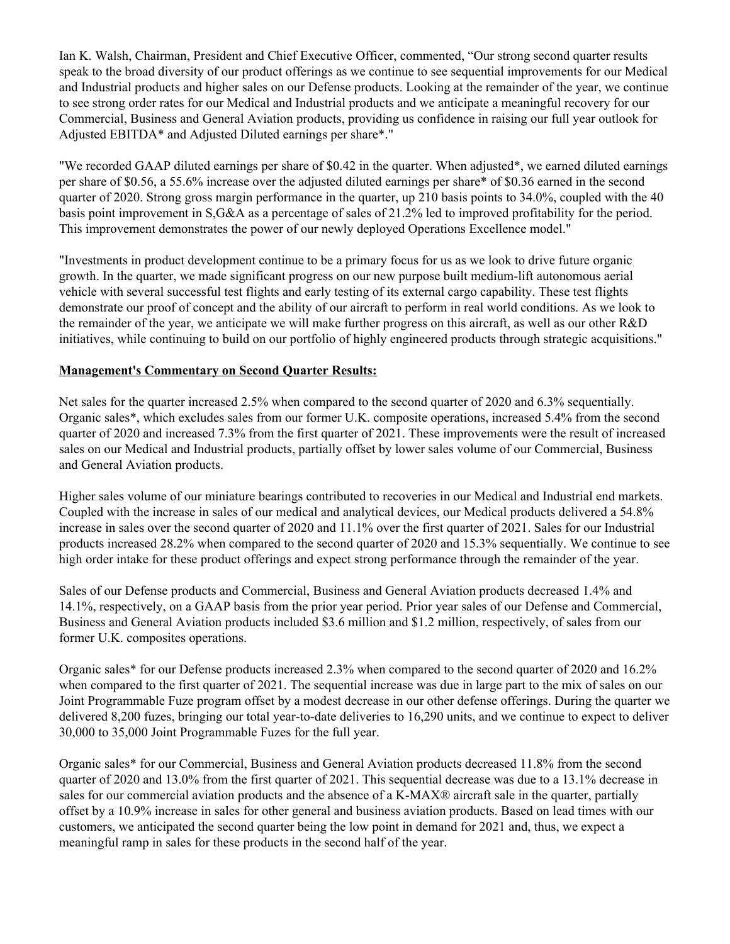Ian K. Walsh, Chairman, President and Chief Executive Officer, commented, "Our strong second quarter results speak to the broad diversity of our product offerings as we continue to see sequential improvements for our Medical and Industrial products and higher sales on our Defense products. Looking at the remainder of the year, we continue to see strong order rates for our Medical and Industrial products and we anticipate a meaningful recovery for our Commercial, Business and General Aviation products, providing us confidence in raising our full year outlook for Adjusted EBITDA\* and Adjusted Diluted earnings per share\*."

"We recorded GAAP diluted earnings per share of \$0.42 in the quarter. When adjusted\*, we earned diluted earnings per share of \$0.56, a 55.6% increase over the adjusted diluted earnings per share\* of \$0.36 earned in the second quarter of 2020. Strong gross margin performance in the quarter, up 210 basis points to 34.0%, coupled with the 40 basis point improvement in S,G&A as a percentage of sales of 21.2% led to improved profitability for the period. This improvement demonstrates the power of our newly deployed Operations Excellence model."

"Investments in product development continue to be a primary focus for us as we look to drive future organic growth. In the quarter, we made significant progress on our new purpose built medium-lift autonomous aerial vehicle with several successful test flights and early testing of its external cargo capability. These test flights demonstrate our proof of concept and the ability of our aircraft to perform in real world conditions. As we look to the remainder of the year, we anticipate we will make further progress on this aircraft, as well as our other R&D initiatives, while continuing to build on our portfolio of highly engineered products through strategic acquisitions."

### **Management's Commentary on Second Quarter Results:**

Net sales for the quarter increased 2.5% when compared to the second quarter of 2020 and 6.3% sequentially. Organic sales\*, which excludes sales from our former U.K. composite operations, increased 5.4% from the second quarter of 2020 and increased 7.3% from the first quarter of 2021. These improvements were the result of increased sales on our Medical and Industrial products, partially offset by lower sales volume of our Commercial, Business and General Aviation products.

Higher sales volume of our miniature bearings contributed to recoveries in our Medical and Industrial end markets. Coupled with the increase in sales of our medical and analytical devices, our Medical products delivered a 54.8% increase in sales over the second quarter of 2020 and 11.1% over the first quarter of 2021. Sales for our Industrial products increased 28.2% when compared to the second quarter of 2020 and 15.3% sequentially. We continue to see high order intake for these product offerings and expect strong performance through the remainder of the year.

Sales of our Defense products and Commercial, Business and General Aviation products decreased 1.4% and 14.1%, respectively, on a GAAP basis from the prior year period. Prior year sales of our Defense and Commercial, Business and General Aviation products included \$3.6 million and \$1.2 million, respectively, of sales from our former U.K. composites operations.

Organic sales\* for our Defense products increased 2.3% when compared to the second quarter of 2020 and 16.2% when compared to the first quarter of 2021. The sequential increase was due in large part to the mix of sales on our Joint Programmable Fuze program offset by a modest decrease in our other defense offerings. During the quarter we delivered 8,200 fuzes, bringing our total year-to-date deliveries to 16,290 units, and we continue to expect to deliver 30,000 to 35,000 Joint Programmable Fuzes for the full year.

Organic sales\* for our Commercial, Business and General Aviation products decreased 11.8% from the second quarter of 2020 and 13.0% from the first quarter of 2021. This sequential decrease was due to a 13.1% decrease in sales for our commercial aviation products and the absence of a K-MAX® aircraft sale in the quarter, partially offset by a 10.9% increase in sales for other general and business aviation products. Based on lead times with our customers, we anticipated the second quarter being the low point in demand for 2021 and, thus, we expect a meaningful ramp in sales for these products in the second half of the year.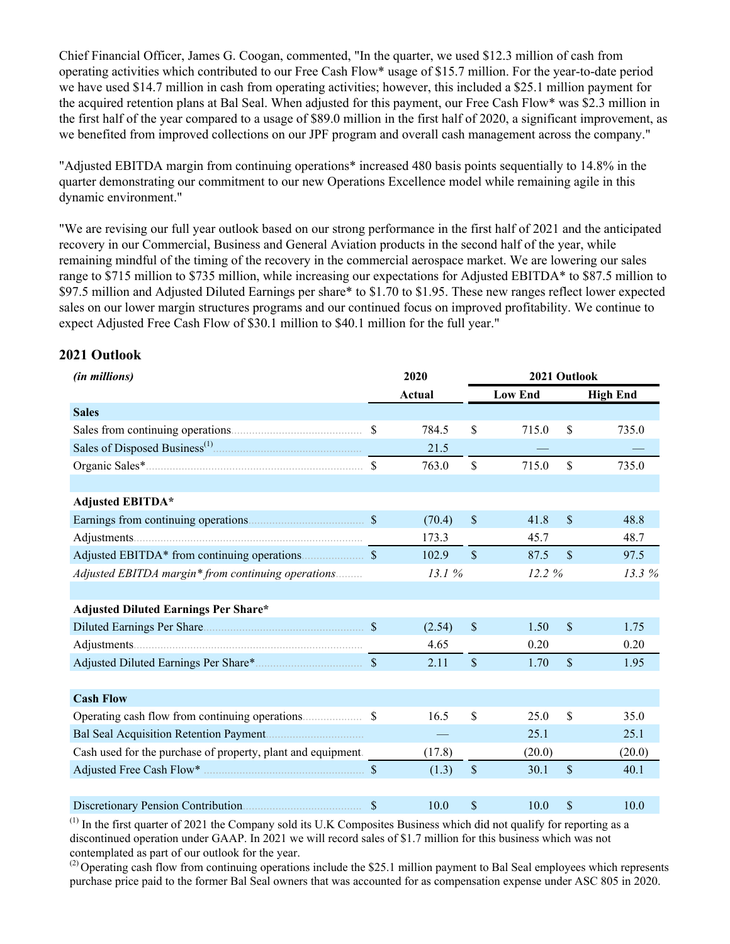Chief Financial Officer, James G. Coogan, commented, "In the quarter, we used \$12.3 million of cash from operating activities which contributed to our Free Cash Flow\* usage of \$15.7 million. For the year-to-date period we have used \$14.7 million in cash from operating activities; however, this included a \$25.1 million payment for the acquired retention plans at Bal Seal. When adjusted for this payment, our Free Cash Flow\* was \$2.3 million in the first half of the year compared to a usage of \$89.0 million in the first half of 2020, a significant improvement, as we benefited from improved collections on our JPF program and overall cash management across the company."

"Adjusted EBITDA margin from continuing operations\* increased 480 basis points sequentially to 14.8% in the quarter demonstrating our commitment to our new Operations Excellence model while remaining agile in this dynamic environment."

"We are revising our full year outlook based on our strong performance in the first half of 2021 and the anticipated recovery in our Commercial, Business and General Aviation products in the second half of the year, while remaining mindful of the timing of the recovery in the commercial aerospace market. We are lowering our sales range to \$715 million to \$735 million, while increasing our expectations for Adjusted EBITDA\* to \$87.5 million to \$97.5 million and Adjusted Diluted Earnings per share\* to \$1.70 to \$1.95. These new ranges reflect lower expected sales on our lower margin structures programs and our continued focus on improved profitability. We continue to expect Adjusted Free Cash Flow of \$30.1 million to \$40.1 million for the full year."

### **2021 Outlook**

| (in millions)                                                                                  |               | 2020                     |               | 2021 Outlook   |               |                 |
|------------------------------------------------------------------------------------------------|---------------|--------------------------|---------------|----------------|---------------|-----------------|
|                                                                                                |               | Actual                   |               | <b>Low End</b> |               | <b>High End</b> |
| <b>Sales</b>                                                                                   |               |                          |               |                |               |                 |
|                                                                                                | $\mathcal{S}$ | 784.5                    | \$            | 715.0          | \$            | 735.0           |
| Sales of Disposed Business <sup>(1)</sup> [1] and the same of Disposed Business <sup>(1)</sup> |               | 21.5                     |               |                |               |                 |
|                                                                                                | $\mathbf S$   | 763.0                    | \$            | 715.0          | $\mathsf{\$}$ | 735.0           |
|                                                                                                |               |                          |               |                |               |                 |
| <b>Adjusted EBITDA*</b>                                                                        |               |                          |               |                |               |                 |
|                                                                                                |               | (70.4)                   | $\mathsf{\$}$ | 41.8           | $\mathsf{\$}$ | 48.8            |
|                                                                                                |               | 173.3                    |               | 45.7           |               | 48.7            |
|                                                                                                |               | 102.9                    | $\mathsf{\$}$ | 87.5           | $\mathsf{\$}$ | 97.5            |
| Adjusted EBITDA margin* from continuing operations                                             |               | 13.1 %                   |               | 12.2%          |               | 13.3%           |
|                                                                                                |               |                          |               |                |               |                 |
| <b>Adjusted Diluted Earnings Per Share*</b>                                                    |               |                          |               |                |               |                 |
|                                                                                                |               | (2.54)                   | $\mathsf{\$}$ | 1.50           | $\mathcal{S}$ | 1.75            |
|                                                                                                |               | 4.65                     |               | 0.20           |               | 0.20            |
|                                                                                                |               | 2.11                     | $\mathsf{\$}$ | 1.70           | $\mathsf{\$}$ | 1.95            |
|                                                                                                |               |                          |               |                |               |                 |
| <b>Cash Flow</b>                                                                               |               |                          |               |                |               |                 |
|                                                                                                | -S            | 16.5                     | \$            | 25.0           | \$            | 35.0            |
|                                                                                                |               | $\overline{\phantom{m}}$ |               | 25.1           |               | 25.1            |
| Cash used for the purchase of property, plant and equipment.                                   |               | (17.8)                   |               | (20.0)         |               | (20.0)          |
|                                                                                                |               | (1.3)                    | $\mathbb S$   | 30.1           | $\mathsf{\$}$ | 40.1            |
|                                                                                                |               |                          |               |                |               |                 |
|                                                                                                | \$            | 10.0                     | \$            | 10.0           | \$            | 10.0            |

 $<sup>(1)</sup>$  In the first quarter of 2021 the Company sold its U.K. Composites Business which did not qualify for reporting as a</sup> discontinued operation under GAAP. In 2021 we will record sales of \$1.7 million for this business which was not contemplated as part of our outlook for the year.

 $^{(2)}$  Operating cash flow from continuing operations include the \$25.1 million payment to Bal Seal employees which represents purchase price paid to the former Bal Seal owners that was accounted for as compensation expense under ASC 805 in 2020.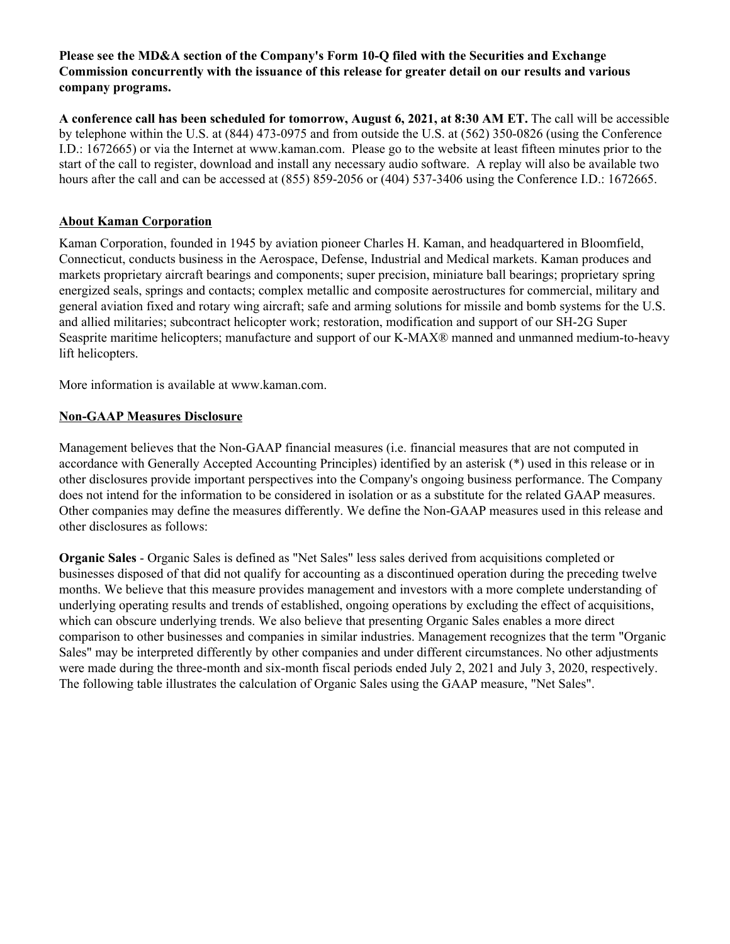### **Please see the MD&A section of the Company's Form 10-Q filed with the Securities and Exchange Commission concurrently with the issuance of this release for greater detail on our results and various company programs.**

**A conference call has been scheduled for tomorrow, August 6, 2021, at 8:30 AM ET.** The call will be accessible by telephone within the U.S. at (844) 473-0975 and from outside the U.S. at (562) 350-0826 (using the Conference I.D.: 1672665) or via the Internet at www.kaman.com. Please go to the website at least fifteen minutes prior to the start of the call to register, download and install any necessary audio software. A replay will also be available two hours after the call and can be accessed at (855) 859-2056 or (404) 537-3406 using the Conference I.D.: 1672665.

## **About Kaman Corporation**

Kaman Corporation, founded in 1945 by aviation pioneer Charles H. Kaman, and headquartered in Bloomfield, Connecticut, conducts business in the Aerospace, Defense, Industrial and Medical markets. Kaman produces and markets proprietary aircraft bearings and components; super precision, miniature ball bearings; proprietary spring energized seals, springs and contacts; complex metallic and composite aerostructures for commercial, military and general aviation fixed and rotary wing aircraft; safe and arming solutions for missile and bomb systems for the U.S. and allied militaries; subcontract helicopter work; restoration, modification and support of our SH-2G Super Seasprite maritime helicopters; manufacture and support of our K-MAX® manned and unmanned medium-to-heavy lift helicopters.

More information is available at www.kaman.com.

# **Non-GAAP Measures Disclosure**

Management believes that the Non-GAAP financial measures (i.e. financial measures that are not computed in accordance with Generally Accepted Accounting Principles) identified by an asterisk (\*) used in this release or in other disclosures provide important perspectives into the Company's ongoing business performance. The Company does not intend for the information to be considered in isolation or as a substitute for the related GAAP measures. Other companies may define the measures differently. We define the Non-GAAP measures used in this release and other disclosures as follows:

**Organic Sales** - Organic Sales is defined as "Net Sales" less sales derived from acquisitions completed or businesses disposed of that did not qualify for accounting as a discontinued operation during the preceding twelve months. We believe that this measure provides management and investors with a more complete understanding of underlying operating results and trends of established, ongoing operations by excluding the effect of acquisitions, which can obscure underlying trends. We also believe that presenting Organic Sales enables a more direct comparison to other businesses and companies in similar industries. Management recognizes that the term "Organic Sales" may be interpreted differently by other companies and under different circumstances. No other adjustments were made during the three-month and six-month fiscal periods ended July 2, 2021 and July 3, 2020, respectively. The following table illustrates the calculation of Organic Sales using the GAAP measure, "Net Sales".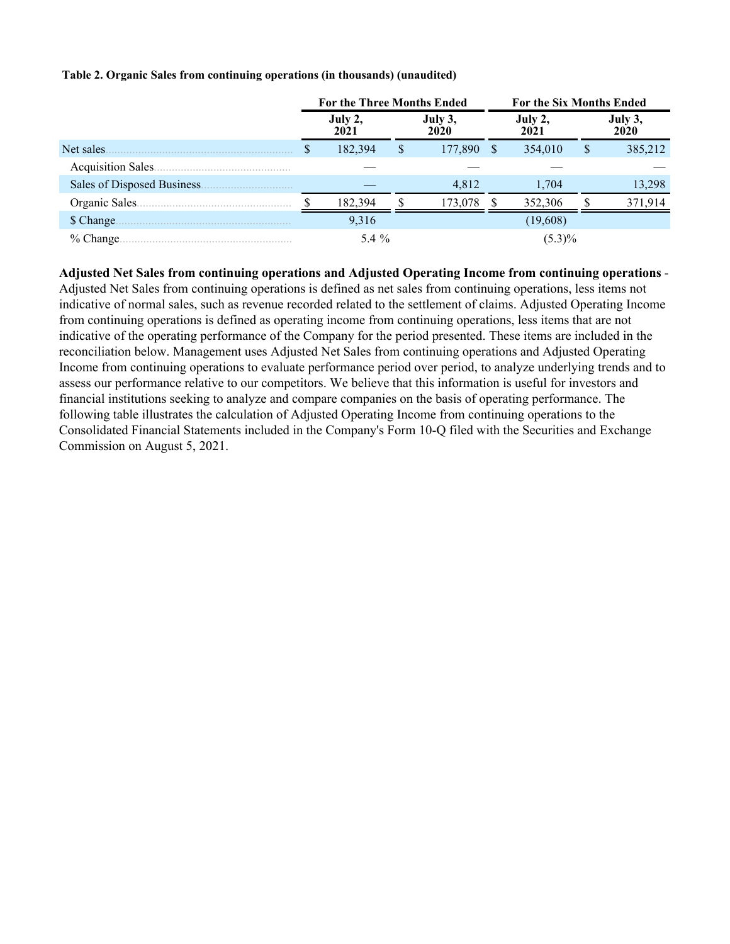#### **Table 2. Organic Sales from continuing operations (in thousands) (unaudited)**

|                             | <b>For the Three Months Ended</b> |                 |     | For the Six Months Ended |          |                 |   |                 |
|-----------------------------|-----------------------------------|-----------------|-----|--------------------------|----------|-----------------|---|-----------------|
|                             |                                   | July 2,<br>2021 |     | July 3,<br>2020          |          | July 2,<br>2021 |   | July 3,<br>2020 |
| Net sales.                  |                                   | 182,394         | \$. | 177,890                  | <b>S</b> | 354,010         | S | 385,212         |
| Acquisition Sales.          |                                   |                 |     |                          |          |                 |   |                 |
| Sales of Disposed Business. |                                   |                 |     | 4,812                    |          | 1,704           |   | 13,298          |
| Organic Sales.              |                                   | 182,394         |     | 173,078                  |          | 352,306         |   | 371.914         |
| \$ Change.                  |                                   | 9,316           |     |                          |          | (19,608)        |   |                 |
| % Change.                   |                                   | 5.4 $%$         |     |                          |          | $(5.3)\%$       |   |                 |

**Adjusted Net Sales from continuing operations and Adjusted Operating Income from continuing operations** - Adjusted Net Sales from continuing operations is defined as net sales from continuing operations, less items not indicative of normal sales, such as revenue recorded related to the settlement of claims. Adjusted Operating Income from continuing operations is defined as operating income from continuing operations, less items that are not indicative of the operating performance of the Company for the period presented. These items are included in the reconciliation below. Management uses Adjusted Net Sales from continuing operations and Adjusted Operating Income from continuing operations to evaluate performance period over period, to analyze underlying trends and to assess our performance relative to our competitors. We believe that this information is useful for investors and financial institutions seeking to analyze and compare companies on the basis of operating performance. The following table illustrates the calculation of Adjusted Operating Income from continuing operations to the Consolidated Financial Statements included in the Company's Form 10-Q filed with the Securities and Exchange Commission on August 5, 2021.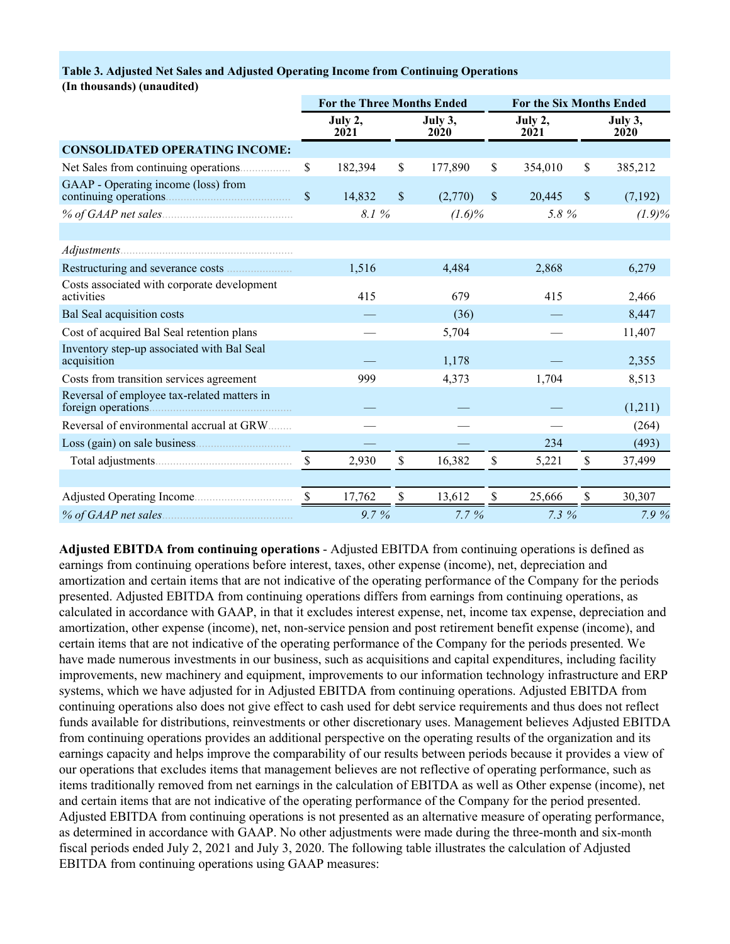#### **Table 3. Adjusted Net Sales and Adjusted Operating Income from Continuing Operations**

**(In thousands) (unaudited)**

|                                                              |                           | <b>For the Three Months Ended</b> |               |                 | <b>For the Six Months Ended</b> |         |    |                 |  |
|--------------------------------------------------------------|---------------------------|-----------------------------------|---------------|-----------------|---------------------------------|---------|----|-----------------|--|
|                                                              |                           | July 2,<br>2021                   |               | July 3,<br>2020 | July 2,<br>2021                 |         |    | July 3,<br>2020 |  |
| <b>CONSOLIDATED OPERATING INCOME:</b>                        |                           |                                   |               |                 |                                 |         |    |                 |  |
| Net Sales from continuing operations                         | \$                        | 182,394                           | \$            | 177,890         | S                               | 354,010 | \$ | 385,212         |  |
| GAAP - Operating income (loss) from<br>continuing operations | $\mathbf{\hat{S}}$        | 14,832                            | \$.           | (2,770)         | \$                              | 20,445  | \$ | (7,192)         |  |
| % of GAAP net sales                                          |                           | 8.1%                              |               | $(1.6)\%$       |                                 | 5.8%    |    | $(1.9)\%$       |  |
|                                                              |                           |                                   |               |                 |                                 |         |    |                 |  |
|                                                              |                           |                                   |               |                 |                                 |         |    |                 |  |
|                                                              |                           | 1,516                             |               | 4,484           |                                 | 2,868   |    | 6,279           |  |
| Costs associated with corporate development<br>activities    |                           | 415                               |               | 679             |                                 | 415     |    | 2,466           |  |
| Bal Seal acquisition costs                                   |                           |                                   |               | (36)            |                                 |         |    | 8,447           |  |
| Cost of acquired Bal Seal retention plans                    |                           |                                   |               | 5,704           |                                 |         |    | 11,407          |  |
| Inventory step-up associated with Bal Seal<br>acquisition    |                           |                                   |               | 1,178           |                                 |         |    | 2,355           |  |
| Costs from transition services agreement                     |                           | 999                               |               | 4,373           |                                 | 1,704   |    | 8,513           |  |
| Reversal of employee tax-related matters in                  |                           |                                   |               |                 |                                 |         |    | (1,211)         |  |
| Reversal of environmental accrual at GRW                     |                           |                                   |               |                 |                                 |         |    | (264)           |  |
| Loss (gain) on sale business.                                |                           |                                   |               |                 |                                 | 234     |    | (493)           |  |
|                                                              | $\mathbb{S}$              | 2,930                             | $\mathsf{\$}$ | 16,382          | \$                              | 5,221   | \$ | 37,499          |  |
|                                                              |                           |                                   |               |                 |                                 |         |    |                 |  |
|                                                              | $\boldsymbol{\mathsf{S}}$ | 17,762                            | \$            | 13,612          | \$                              | 25,666  | \$ | 30,307          |  |
| % of GAAP net sales.                                         |                           | 9.7%                              |               | $7.7\%$         |                                 | 7.3%    |    | 7.9 %           |  |

**Adjusted EBITDA from continuing operations** - Adjusted EBITDA from continuing operations is defined as earnings from continuing operations before interest, taxes, other expense (income), net, depreciation and amortization and certain items that are not indicative of the operating performance of the Company for the periods presented. Adjusted EBITDA from continuing operations differs from earnings from continuing operations, as calculated in accordance with GAAP, in that it excludes interest expense, net, income tax expense, depreciation and amortization, other expense (income), net, non-service pension and post retirement benefit expense (income), and certain items that are not indicative of the operating performance of the Company for the periods presented. We have made numerous investments in our business, such as acquisitions and capital expenditures, including facility improvements, new machinery and equipment, improvements to our information technology infrastructure and ERP systems, which we have adjusted for in Adjusted EBITDA from continuing operations. Adjusted EBITDA from continuing operations also does not give effect to cash used for debt service requirements and thus does not reflect funds available for distributions, reinvestments or other discretionary uses. Management believes Adjusted EBITDA from continuing operations provides an additional perspective on the operating results of the organization and its earnings capacity and helps improve the comparability of our results between periods because it provides a view of our operations that excludes items that management believes are not reflective of operating performance, such as items traditionally removed from net earnings in the calculation of EBITDA as well as Other expense (income), net and certain items that are not indicative of the operating performance of the Company for the period presented. Adjusted EBITDA from continuing operations is not presented as an alternative measure of operating performance, as determined in accordance with GAAP. No other adjustments were made during the three-month and six-month fiscal periods ended July 2, 2021 and July 3, 2020. The following table illustrates the calculation of Adjusted EBITDA from continuing operations using GAAP measures: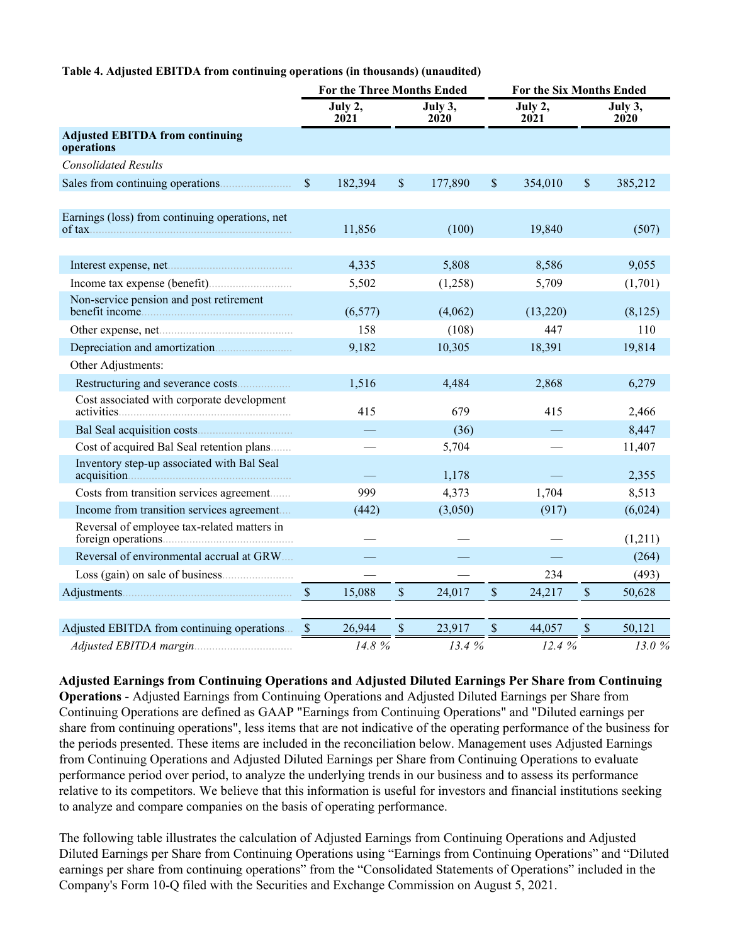#### **Table 4. Adjusted EBITDA from continuing operations (in thousands) (unaudited)**

|                                                      |                      | <b>For the Three Months Ended</b> |               |                 |               | For the Six Months Ended |               |                        |  |
|------------------------------------------------------|----------------------|-----------------------------------|---------------|-----------------|---------------|--------------------------|---------------|------------------------|--|
|                                                      |                      | July 2,<br>2021                   |               | July 3,<br>2020 |               | July 2,<br>2021          |               | July 3,<br><b>2020</b> |  |
| <b>Adjusted EBITDA from continuing</b><br>operations |                      |                                   |               |                 |               |                          |               |                        |  |
| <b>Consolidated Results</b>                          |                      |                                   |               |                 |               |                          |               |                        |  |
|                                                      | $\sqrt{\ }$          | 182,394                           | $\mathsf{\$}$ | 177,890         | \$            | 354,010                  | \$            | 385,212                |  |
| Earnings (loss) from continuing operations, net      |                      | 11,856                            |               | (100)           |               | 19,840                   |               | (507)                  |  |
|                                                      |                      | 4,335                             |               | 5,808           |               | 8,586                    |               | 9,055                  |  |
|                                                      |                      | 5,502                             |               | (1,258)         |               | 5,709                    |               | (1,701)                |  |
| Non-service pension and post retirement              |                      | (6, 577)                          |               | (4,062)         |               | (13,220)                 |               | (8,125)                |  |
|                                                      |                      | 158                               |               | (108)           |               | 447                      |               | 110                    |  |
|                                                      |                      | 9,182                             |               | 10,305          |               | 18,391                   |               | 19,814                 |  |
| Other Adjustments:                                   |                      |                                   |               |                 |               |                          |               |                        |  |
|                                                      |                      | 1,516                             |               | 4,484           |               | 2,868                    |               | 6,279                  |  |
| Cost associated with corporate development           |                      | 415                               |               | 679             |               | 415                      |               | 2,466                  |  |
|                                                      |                      |                                   |               | (36)            |               |                          |               | 8,447                  |  |
| Cost of acquired Bal Seal retention plans            |                      |                                   |               | 5,704           |               |                          |               | 11,407                 |  |
| Inventory step-up associated with Bal Seal           |                      |                                   |               | 1,178           |               |                          |               | 2,355                  |  |
| Costs from transition services agreement             |                      | 999                               |               | 4,373           |               | 1,704                    |               | 8,513                  |  |
| Income from transition services agreement            |                      | (442)                             |               | (3,050)         |               | (917)                    |               | (6,024)                |  |
| Reversal of employee tax-related matters in          |                      |                                   |               |                 |               |                          |               | (1,211)                |  |
| Reversal of environmental accrual at GRW             |                      |                                   |               |                 |               |                          |               | (264)                  |  |
|                                                      |                      |                                   |               |                 |               | 234                      |               | (493)                  |  |
|                                                      | $\sqrt{\frac{2}{5}}$ | 15,088                            | $\mathsf{\$}$ | 24,017          | $\mathsf{\$}$ | 24,217                   | $\mathsf{\$}$ | 50,628                 |  |
| Adjusted EBITDA from continuing operations           | <sup>S</sup>         | 26,944                            | $\$$          | 23,917          | \$            | 44,057                   | \$            | 50,121                 |  |
| Adjusted EBITDA margin                               |                      | 14.8%                             |               | 13.4 %          |               | 12.4%                    |               | 13.0%                  |  |

**Adjusted Earnings from Continuing Operations and Adjusted Diluted Earnings Per Share from Continuing Operations** - Adjusted Earnings from Continuing Operations and Adjusted Diluted Earnings per Share from Continuing Operations are defined as GAAP "Earnings from Continuing Operations" and "Diluted earnings per share from continuing operations", less items that are not indicative of the operating performance of the business for the periods presented. These items are included in the reconciliation below. Management uses Adjusted Earnings from Continuing Operations and Adjusted Diluted Earnings per Share from Continuing Operations to evaluate performance period over period, to analyze the underlying trends in our business and to assess its performance relative to its competitors. We believe that this information is useful for investors and financial institutions seeking to analyze and compare companies on the basis of operating performance.

The following table illustrates the calculation of Adjusted Earnings from Continuing Operations and Adjusted Diluted Earnings per Share from Continuing Operations using "Earnings from Continuing Operations" and "Diluted earnings per share from continuing operations" from the "Consolidated Statements of Operations" included in the Company's Form 10-Q filed with the Securities and Exchange Commission on August 5, 2021.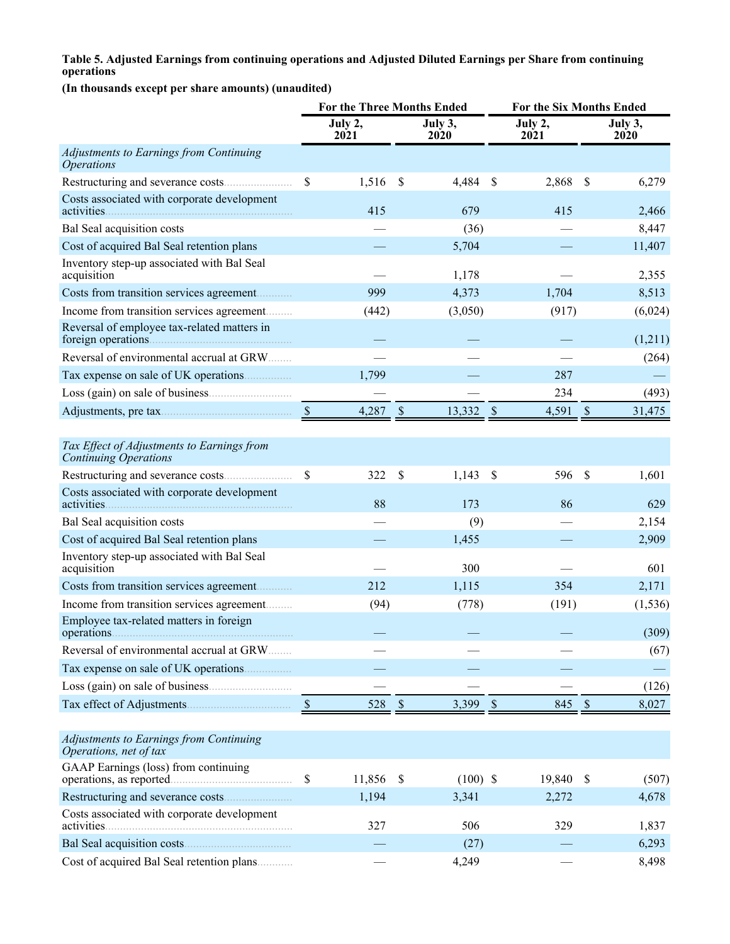#### **Table 5. Adjusted Earnings from continuing operations and Adjusted Diluted Earnings per Share from continuing operations**

**(In thousands except per share amounts) (unaudited)**

|                                                                            |               | <b>For the Three Months Ended</b> |               |                 |                           | For the Six Months Ended |               |                 |
|----------------------------------------------------------------------------|---------------|-----------------------------------|---------------|-----------------|---------------------------|--------------------------|---------------|-----------------|
|                                                                            |               | July 2,<br>2021                   |               | July 3,<br>2020 |                           | July 2,<br>2021          |               | July 3,<br>2020 |
| Adjustments to Earnings from Continuing<br><b>Operations</b>               |               |                                   |               |                 |                           |                          |               |                 |
|                                                                            | \$            | 1,516                             | $\mathcal{S}$ | 4,484           | \$                        | 2,868                    | $\mathcal{S}$ | 6,279           |
| Costs associated with corporate development<br>activities.                 |               | 415                               |               | 679             |                           | 415                      |               | 2,466           |
| Bal Seal acquisition costs                                                 |               |                                   |               | (36)            |                           |                          |               | 8,447           |
| Cost of acquired Bal Seal retention plans                                  |               |                                   |               | 5,704           |                           |                          |               | 11,407          |
| Inventory step-up associated with Bal Seal<br>acquisition                  |               |                                   |               | 1,178           |                           |                          |               | 2,355           |
| Costs from transition services agreement                                   |               | 999                               |               | 4,373           |                           | 1,704                    |               | 8,513           |
| Income from transition services agreement                                  |               | (442)                             |               | (3,050)         |                           | (917)                    |               | (6,024)         |
| Reversal of employee tax-related matters in                                |               |                                   |               |                 |                           |                          |               | (1,211)         |
| Reversal of environmental accrual at GRW                                   |               |                                   |               |                 |                           |                          |               | (264)           |
|                                                                            |               | 1,799                             |               |                 |                           | 287                      |               |                 |
|                                                                            |               |                                   |               |                 |                           | 234                      |               | (493)           |
|                                                                            | $\mathcal{S}$ | 4,287                             | $\mathcal{S}$ | 13,332          | $\mathcal{S}$             | 4,591                    | $\mathcal{S}$ | 31,475          |
|                                                                            |               |                                   |               |                 |                           |                          |               |                 |
| Tax Effect of Adjustments to Earnings from<br><b>Continuing Operations</b> |               |                                   |               |                 |                           |                          |               |                 |
|                                                                            | \$            | 322                               | S             | 1,143           | \$                        | 596                      | $\mathcal{S}$ | 1,601           |
| Costs associated with corporate development                                |               | 88                                |               | 173             |                           | 86                       |               | 629             |
| Bal Seal acquisition costs                                                 |               |                                   |               | (9)             |                           |                          |               | 2,154           |
| Cost of acquired Bal Seal retention plans                                  |               |                                   |               | 1,455           |                           |                          |               | 2,909           |
| Inventory step-up associated with Bal Seal<br>acquisition                  |               |                                   |               | 300             |                           |                          |               | 601             |
| Costs from transition services agreement                                   |               | 212                               |               | 1,115           |                           | 354                      |               | 2,171           |
| Income from transition services agreement                                  |               | (94)                              |               | (778)           |                           | (191)                    |               | (1, 536)        |
| Employee tax-related matters in foreign                                    |               |                                   |               |                 |                           |                          |               | (309)           |
| Reversal of environmental accrual at GRW                                   |               |                                   |               |                 |                           |                          |               | (67)            |
|                                                                            |               |                                   |               |                 |                           |                          |               |                 |
|                                                                            |               |                                   |               |                 |                           |                          |               | (126)           |
|                                                                            | $\sqrt{S}$    | 528                               | $\sqrt{S}$    | 3,399           | $\boldsymbol{\mathsf{S}}$ | 845                      | $\mathcal{S}$ | 8,027           |
|                                                                            |               |                                   |               |                 |                           |                          |               |                 |
| <b>Adjustments to Earnings from Continuing</b><br>Operations, net of tax   |               |                                   |               |                 |                           |                          |               |                 |
| GAAP Earnings (loss) from continuing<br>operations, as reported.           | \$            | 11,856                            | \$            | $(100)$ \$      |                           | 19,840                   | <sup>S</sup>  | (507)           |
|                                                                            |               | 1,194                             |               | 3,341           |                           | 2,272                    |               | 4,678           |
| Costs associated with corporate development<br>activities.                 |               | 327                               |               | 506             |                           | 329                      |               | 1,837           |
|                                                                            |               |                                   |               | (27)            |                           |                          |               | 6,293           |
| Cost of acquired Bal Seal retention plans                                  |               |                                   |               | 4,249           |                           |                          |               | 8,498           |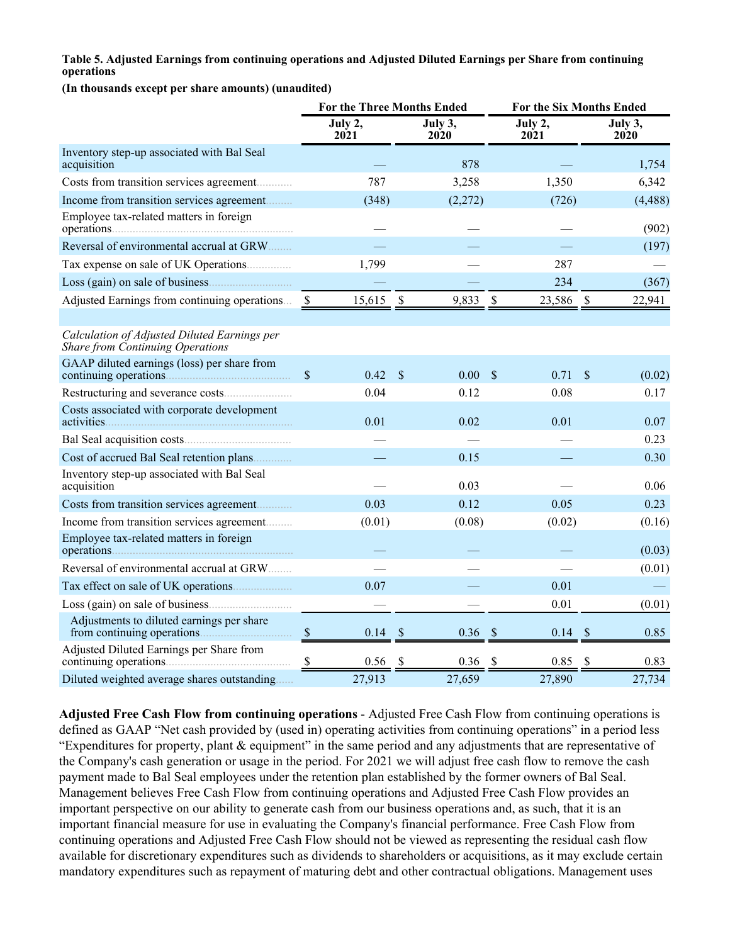#### **Table 5. Adjusted Earnings from continuing operations and Adjusted Diluted Earnings per Share from continuing operations**

**(In thousands except per share amounts) (unaudited)**

|                                                                                         |               | <b>For the Three Months Ended</b> |               |                 |                      |                 | For the Six Months Ended |                 |
|-----------------------------------------------------------------------------------------|---------------|-----------------------------------|---------------|-----------------|----------------------|-----------------|--------------------------|-----------------|
|                                                                                         |               | July 2,<br>2021                   |               | July 3,<br>2020 |                      | July 2,<br>2021 |                          | July 3,<br>2020 |
| Inventory step-up associated with Bal Seal<br>acquisition                               |               |                                   |               | 878             |                      |                 |                          | 1,754           |
| Costs from transition services agreement                                                |               | 787                               |               | 3,258           |                      | 1,350           |                          | 6,342           |
| Income from transition services agreement                                               |               | (348)                             |               | (2,272)         |                      | (726)           |                          | (4, 488)        |
| Employee tax-related matters in foreign                                                 |               |                                   |               |                 |                      |                 |                          | (902)           |
| Reversal of environmental accrual at GRW                                                |               |                                   |               |                 |                      |                 |                          | (197)           |
| Tax expense on sale of UK Operations                                                    |               | 1,799                             |               |                 |                      | 287             |                          |                 |
|                                                                                         |               |                                   |               |                 |                      | 234             |                          | (367)           |
| Adjusted Earnings from continuing operations                                            | -S            | 15,615                            | $\mathcal{S}$ | 9,833           | \$                   | 23,586          | $\mathcal{S}$            | 22,941          |
| Calculation of Adjusted Diluted Earnings per<br><b>Share from Continuing Operations</b> |               |                                   |               |                 |                      |                 |                          |                 |
| GAAP diluted earnings (loss) per share from<br>continuing operations.                   | $\mathbf{\$}$ | 0.42                              | $\mathcal{S}$ | 0.00            | $\mathcal{S}$        | 0.71            | $\mathcal{S}$            | (0.02)          |
|                                                                                         |               | 0.04                              |               | 0.12            |                      | 0.08            |                          | 0.17            |
| Costs associated with corporate development<br>activities.                              |               | 0.01                              |               | 0.02            |                      | 0.01            |                          | 0.07            |
|                                                                                         |               |                                   |               |                 |                      |                 |                          | 0.23            |
| Cost of accrued Bal Seal retention plans                                                |               |                                   |               | 0.15            |                      |                 |                          | 0.30            |
| Inventory step-up associated with Bal Seal<br>acquisition                               |               |                                   |               | 0.03            |                      |                 |                          | 0.06            |
| Costs from transition services agreement                                                |               | 0.03                              |               | 0.12            |                      | 0.05            |                          | 0.23            |
| Income from transition services agreement                                               |               | (0.01)                            |               | (0.08)          |                      | (0.02)          |                          | (0.16)          |
| Employee tax-related matters in foreign                                                 |               |                                   |               |                 |                      |                 |                          | (0.03)          |
| Reversal of environmental accrual at GRW                                                |               |                                   |               |                 |                      |                 |                          | (0.01)          |
|                                                                                         |               | 0.07                              |               |                 |                      | 0.01            |                          |                 |
|                                                                                         |               |                                   |               |                 |                      | 0.01            |                          | (0.01)          |
| Adjustments to diluted earnings per share<br>from continuing operations.                | $\mathcal{S}$ | 0.14                              | $\mathcal{S}$ | 0.36            | $\sqrt{\frac{2}{5}}$ | $0.14$ \$       |                          | 0.85            |
| Adjusted Diluted Earnings per Share from<br>continuing operations.                      | $\frac{1}{2}$ | 0.56                              | \$            | 0.36            | \$                   | 0.85            | \$                       | 0.83            |
| Diluted weighted average shares outstanding                                             |               | 27,913                            |               | 27,659          |                      | 27,890          |                          | 27,734          |

**Adjusted Free Cash Flow from continuing operations** - Adjusted Free Cash Flow from continuing operations is defined as GAAP "Net cash provided by (used in) operating activities from continuing operations" in a period less "Expenditures for property, plant & equipment" in the same period and any adjustments that are representative of the Company's cash generation or usage in the period. For 2021 we will adjust free cash flow to remove the cash payment made to Bal Seal employees under the retention plan established by the former owners of Bal Seal. Management believes Free Cash Flow from continuing operations and Adjusted Free Cash Flow provides an important perspective on our ability to generate cash from our business operations and, as such, that it is an important financial measure for use in evaluating the Company's financial performance. Free Cash Flow from continuing operations and Adjusted Free Cash Flow should not be viewed as representing the residual cash flow available for discretionary expenditures such as dividends to shareholders or acquisitions, as it may exclude certain mandatory expenditures such as repayment of maturing debt and other contractual obligations. Management uses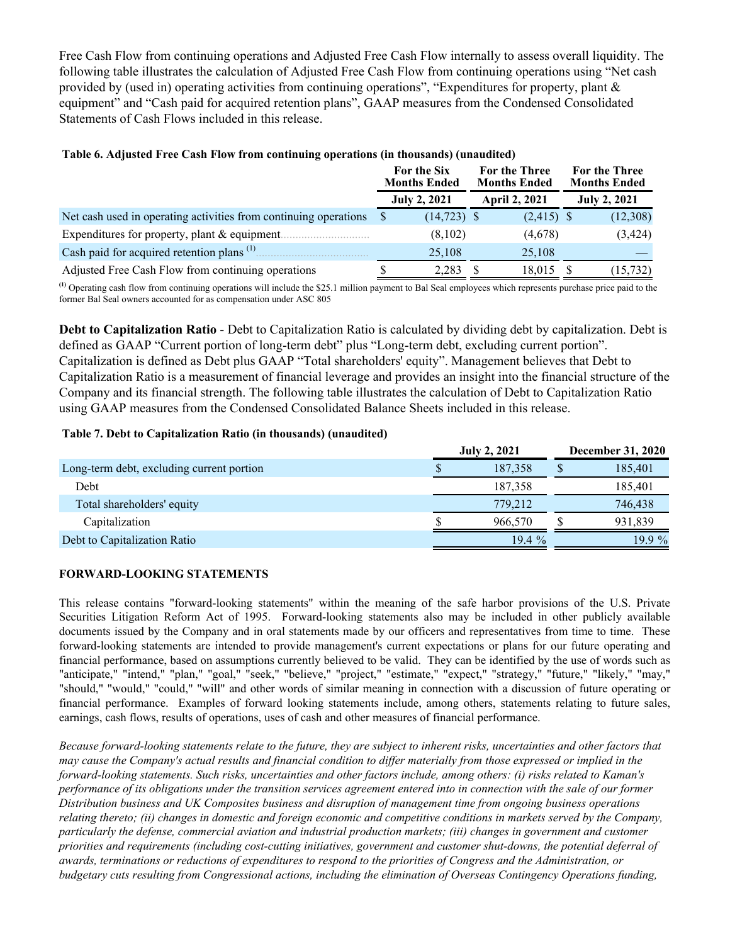Free Cash Flow from continuing operations and Adjusted Free Cash Flow internally to assess overall liquidity. The following table illustrates the calculation of Adjusted Free Cash Flow from continuing operations using "Net cash provided by (used in) operating activities from continuing operations", "Expenditures for property, plant & equipment" and "Cash paid for acquired retention plans", GAAP measures from the Condensed Consolidated Statements of Cash Flows included in this release.

|                                                                  | For the Six<br><b>Months Ended</b> | For the Three<br><b>Months Ended</b> | For the Three<br><b>Months Ended</b> |
|------------------------------------------------------------------|------------------------------------|--------------------------------------|--------------------------------------|
|                                                                  | <b>July 2, 2021</b>                | <b>April 2, 2021</b>                 | <b>July 2, 2021</b>                  |
| Net cash used in operating activities from continuing operations | $(14, 723)$ \$                     | $(2,415)$ \$                         | (12,308)                             |
| Expenditures for property, plant $&$ equipment.                  | (8,102)                            | (4,678)                              | (3, 424)                             |
| Cash paid for acquired retention plans $(1)$                     | 25,108                             | 25,108                               |                                      |
| Adjusted Free Cash Flow from continuing operations               | 2,283                              | 18,015                               | (15, 732)                            |

### **Table 6. Adjusted Free Cash Flow from continuing operations (in thousands) (unaudited)**

**(1)** Operating cash flow from continuing operations will include the \$25.1 million payment to Bal Seal employees which represents purchase price paid to the former Bal Seal owners accounted for as compensation under ASC 805

**Debt to Capitalization Ratio** - Debt to Capitalization Ratio is calculated by dividing debt by capitalization. Debt is defined as GAAP "Current portion of long-term debt" plus "Long-term debt, excluding current portion". Capitalization is defined as Debt plus GAAP "Total shareholders' equity". Management believes that Debt to Capitalization Ratio is a measurement of financial leverage and provides an insight into the financial structure of the Company and its financial strength. The following table illustrates the calculation of Debt to Capitalization Ratio using GAAP measures from the Condensed Consolidated Balance Sheets included in this release.

#### **Table 7. Debt to Capitalization Ratio (in thousands) (unaudited)**

|                                           |    | <b>July 2, 2021</b> | <b>December 31, 2020</b> |
|-------------------------------------------|----|---------------------|--------------------------|
| Long-term debt, excluding current portion | ۰D | 187,358             | 185,401                  |
| <b>Debt</b>                               |    | 187,358             | 185,401                  |
| Total shareholders' equity                |    | 779,212             | 746,438                  |
| Capitalization                            |    | 966.570             | 931,839                  |
| Debt to Capitalization Ratio              |    | $19.4\%$            | 19.9 %                   |

### **FORWARD-LOOKING STATEMENTS**

This release contains "forward-looking statements" within the meaning of the safe harbor provisions of the U.S. Private Securities Litigation Reform Act of 1995. Forward-looking statements also may be included in other publicly available documents issued by the Company and in oral statements made by our officers and representatives from time to time. These forward-looking statements are intended to provide management's current expectations or plans for our future operating and financial performance, based on assumptions currently believed to be valid. They can be identified by the use of words such as "anticipate," "intend," "plan," "goal," "seek," "believe," "project," "estimate," "expect," "strategy," "future," "likely," "may," "should," "would," "could," "will" and other words of similar meaning in connection with a discussion of future operating or financial performance. Examples of forward looking statements include, among others, statements relating to future sales, earnings, cash flows, results of operations, uses of cash and other measures of financial performance.

*Because forward-looking statements relate to the future, they are subject to inherent risks, uncertainties and other factors that may cause the Company's actual results and financial condition to differ materially from those expressed or implied in the forward-looking statements. Such risks, uncertainties and other factors include, among others: (i) risks related to Kaman's performance of its obligations under the transition services agreement entered into in connection with the sale of our former Distribution business and UK Composites business and disruption of management time from ongoing business operations relating thereto; (ii) changes in domestic and foreign economic and competitive conditions in markets served by the Company, particularly the defense, commercial aviation and industrial production markets; (iii) changes in government and customer priorities and requirements (including cost-cutting initiatives, government and customer shut-downs, the potential deferral of awards, terminations or reductions of expenditures to respond to the priorities of Congress and the Administration, or budgetary cuts resulting from Congressional actions, including the elimination of Overseas Contingency Operations funding,*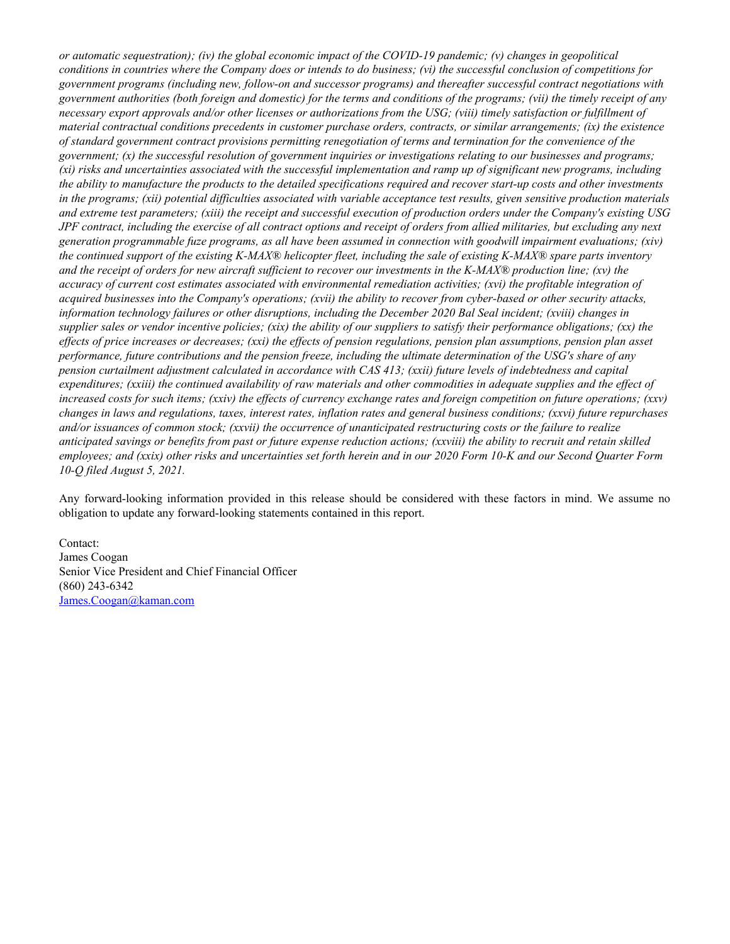*or automatic sequestration); (iv) the global economic impact of the COVID-19 pandemic; (v) changes in geopolitical conditions in countries where the Company does or intends to do business; (vi) the successful conclusion of competitions for government programs (including new, follow-on and successor programs) and thereafter successful contract negotiations with government authorities (both foreign and domestic) for the terms and conditions of the programs; (vii) the timely receipt of any necessary export approvals and/or other licenses or authorizations from the USG; (viii) timely satisfaction or fulfillment of material contractual conditions precedents in customer purchase orders, contracts, or similar arrangements; (ix) the existence of standard government contract provisions permitting renegotiation of terms and termination for the convenience of the government; (x) the successful resolution of government inquiries or investigations relating to our businesses and programs; (xi) risks and uncertainties associated with the successful implementation and ramp up of significant new programs, including the ability to manufacture the products to the detailed specifications required and recover start-up costs and other investments in the programs; (xii) potential difficulties associated with variable acceptance test results, given sensitive production materials and extreme test parameters; (xiii) the receipt and successful execution of production orders under the Company's existing USG JPF contract, including the exercise of all contract options and receipt of orders from allied militaries, but excluding any next generation programmable fuze programs, as all have been assumed in connection with goodwill impairment evaluations; (xiv) the continued support of the existing K-MAX® helicopter fleet, including the sale of existing K-MAX® spare parts inventory and the receipt of orders for new aircraft sufficient to recover our investments in the K-MAX® production line; (xv) the accuracy of current cost estimates associated with environmental remediation activities; (xvi) the profitable integration of acquired businesses into the Company's operations; (xvii) the ability to recover from cyber-based or other security attacks, information technology failures or other disruptions, including the December 2020 Bal Seal incident; (xviii) changes in supplier sales or vendor incentive policies; (xix) the ability of our suppliers to satisfy their performance obligations; (xx) the effects of price increases or decreases; (xxi) the effects of pension regulations, pension plan assumptions, pension plan asset performance, future contributions and the pension freeze, including the ultimate determination of the USG's share of any pension curtailment adjustment calculated in accordance with CAS 413; (xxii) future levels of indebtedness and capital expenditures; (xxiii) the continued availability of raw materials and other commodities in adequate supplies and the effect of increased costs for such items; (xxiv) the effects of currency exchange rates and foreign competition on future operations; (xxv) changes in laws and regulations, taxes, interest rates, inflation rates and general business conditions; (xxvi) future repurchases and/or issuances of common stock; (xxvii) the occurrence of unanticipated restructuring costs or the failure to realize anticipated savings or benefits from past or future expense reduction actions; (xxviii) the ability to recruit and retain skilled employees; and (xxix) other risks and uncertainties set forth herein and in our 2020 Form 10-K and our Second Quarter Form 10-Q filed August 5, 2021.*

Any forward-looking information provided in this release should be considered with these factors in mind. We assume no obligation to update any forward-looking statements contained in this report.

Contact: James Coogan Senior Vice President and Chief Financial Officer (860) 243-6342 James.Coogan@kaman.com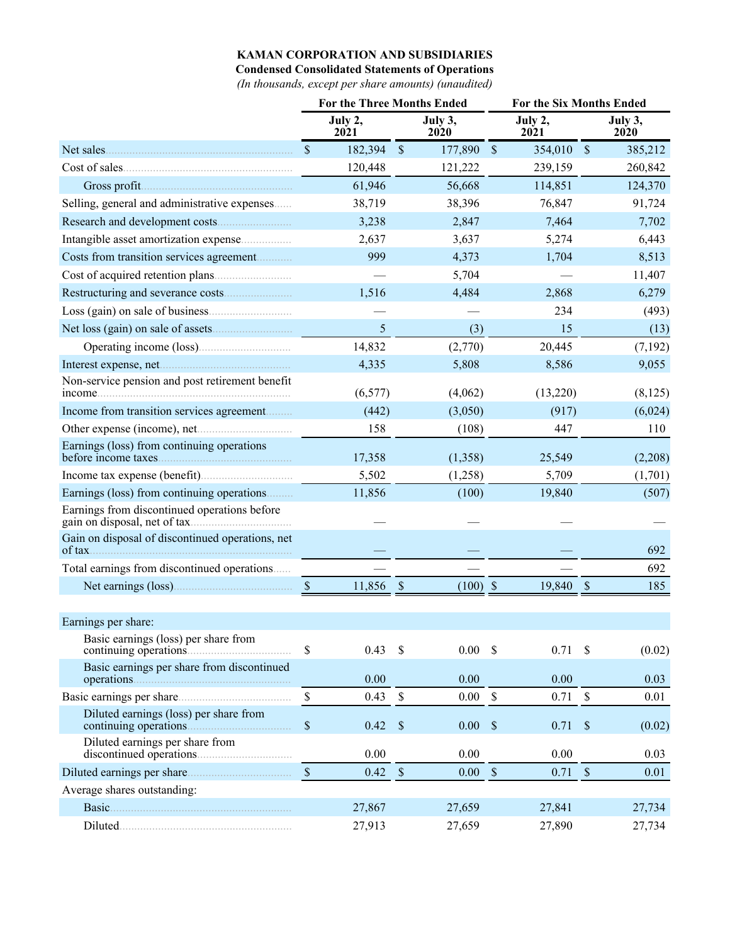### **KAMAN CORPORATION AND SUBSIDIARIES**

**Condensed Consolidated Statements of Operations**

*(In thousands, except per share amounts) (unaudited)*

|                                                                               | <b>For the Three Months Ended</b> |                 |               |                   |                           | For the Six Months Ended |               |                 |
|-------------------------------------------------------------------------------|-----------------------------------|-----------------|---------------|-------------------|---------------------------|--------------------------|---------------|-----------------|
|                                                                               |                                   | July 2,<br>2021 |               | July 3,<br>2020   |                           | July 2,<br>2021          |               | July 3,<br>2020 |
|                                                                               | $\mathcal{S}$                     | 182,394         | $\sqrt{3}$    | 177,890           | $\sqrt{\ }$               | 354,010                  | $\sqrt{3}$    | 385,212         |
|                                                                               |                                   | 120,448         |               | 121,222           |                           | 239,159                  |               | 260,842         |
| Gross profit                                                                  |                                   | 61,946          |               | 56,668            |                           | 114,851                  |               | 124,370         |
| Selling, general and administrative expenses                                  |                                   | 38,719          |               | 38,396            |                           | 76,847                   |               | 91,724          |
|                                                                               |                                   | 3,238           |               | 2,847             |                           | 7,464                    |               | 7,702           |
| Intangible asset amortization expense                                         |                                   | 2,637           |               | 3,637             |                           | 5,274                    |               | 6,443           |
| Costs from transition services agreement                                      |                                   | 999             |               | 4,373             |                           | 1,704                    |               | 8,513           |
|                                                                               |                                   |                 |               | 5,704             |                           |                          |               | 11,407          |
|                                                                               |                                   | 1,516           |               | 4,484             |                           | 2,868                    |               | 6,279           |
|                                                                               |                                   |                 |               |                   |                           | 234                      |               | (493)           |
|                                                                               |                                   | 5               |               | (3)               |                           | 15                       |               | (13)            |
|                                                                               |                                   | 14,832          |               | (2,770)           |                           | 20,445                   |               | (7,192)         |
|                                                                               |                                   | 4,335           |               | 5,808             |                           | 8,586                    |               | 9,055           |
| Non-service pension and post retirement benefit<br>income.                    |                                   | (6, 577)        |               | (4,062)           |                           | (13,220)                 |               | (8,125)         |
| Income from transition services agreement                                     |                                   | (442)           |               | (3,050)           |                           | (917)                    |               | (6,024)         |
|                                                                               |                                   | 158             |               | (108)             |                           | 447                      |               | 110             |
| Earnings (loss) from continuing operations<br>before income taxes             |                                   | 17,358          |               | (1,358)           |                           | 25,549                   |               | (2,208)         |
|                                                                               |                                   | 5,502           |               | (1,258)           |                           | 5,709                    |               | (1,701)         |
| Earnings (loss) from continuing operations                                    |                                   | 11,856          |               | (100)             |                           | 19,840                   |               | (507)           |
| Earnings from discontinued operations before<br>gain on disposal, net of tax. |                                   |                 |               |                   |                           |                          |               |                 |
| Gain on disposal of discontinued operations, net                              |                                   |                 |               |                   |                           |                          |               | 692             |
| Total earnings from discontinued operations                                   |                                   |                 |               |                   |                           |                          |               | 692             |
| Net earnings (loss).                                                          | $\sqrt{\$}$                       | 11,856          | $\mathcal{S}$ | $(100)$ \$        |                           | 19,840                   | $\mathcal{S}$ | 185             |
|                                                                               |                                   |                 |               |                   |                           |                          |               |                 |
| Earnings per share:                                                           |                                   |                 |               |                   |                           |                          |               |                 |
| Basic earnings (loss) per share from<br>continuing operations.                | \$                                | 0.43            | -\$           | $0.00\  \  \,$ \$ |                           | 0.71                     | $\mathcal{S}$ | (0.02)          |
| Basic earnings per share from discontinued                                    |                                   | 0.00            |               | 0.00              |                           | 0.00                     |               | 0.03            |
|                                                                               | \$                                | 0.43            | $\mathcal{S}$ | $0.00\,$          | $\mathbb S$               | 0.71                     | $\$$          | 0.01            |
| Diluted earnings (loss) per share from                                        | $\$$                              | 0.42            | $\mathcal{S}$ | 0.00              | $\boldsymbol{\mathsf{S}}$ | 0.71                     | $\mathcal{S}$ | (0.02)          |
| Diluted earnings per share from                                               |                                   | 0.00            |               | 0.00              |                           | 0.00                     |               | 0.03            |
|                                                                               | $\mathcal{S}$                     | 0.42            | $\sqrt{\ }$   | 0.00              | $\mathcal{S}$             | 0.71                     | $\mathcal{S}$ | 0.01            |
| Average shares outstanding:                                                   |                                   |                 |               |                   |                           |                          |               |                 |
|                                                                               |                                   | 27,867          |               | 27,659            |                           | 27,841                   |               | 27,734          |
|                                                                               |                                   | 27,913          |               | 27,659            |                           | 27,890                   |               | 27,734          |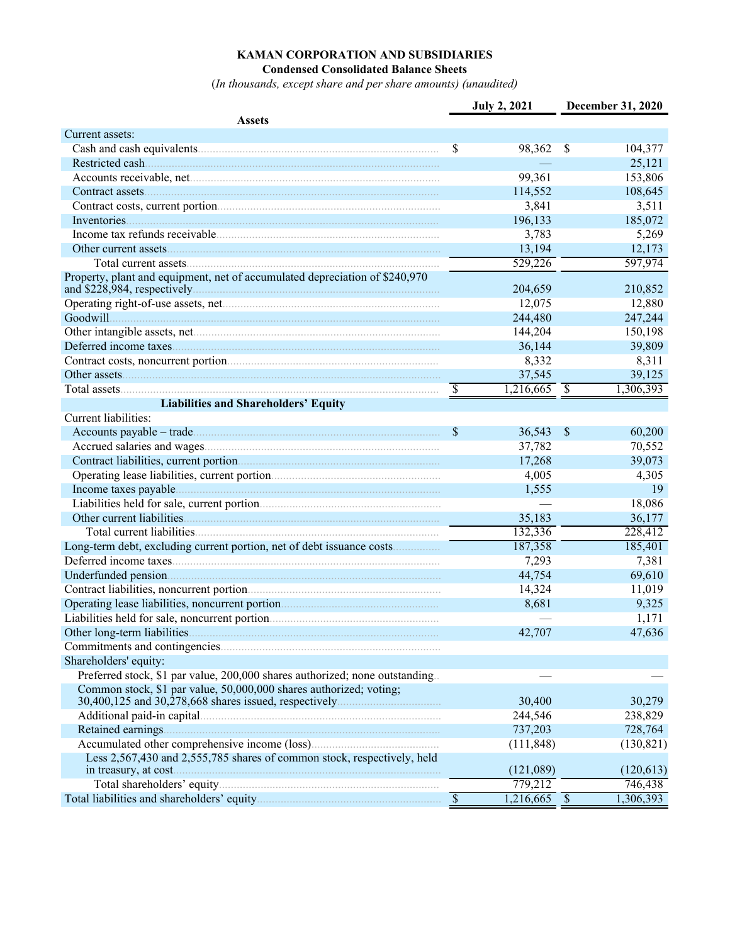### **KAMAN CORPORATION AND SUBSIDIARIES Condensed Consolidated Balance Sheets**

(*In thousands, except share and per share amounts) (unaudited)*

|                                                                              |                          | <b>July 2, 2021</b>       |               | December 31, 2020 |
|------------------------------------------------------------------------------|--------------------------|---------------------------|---------------|-------------------|
| <b>Assets</b>                                                                |                          |                           |               |                   |
| Current assets:                                                              |                          |                           |               |                   |
|                                                                              | \$                       | 98,362                    | $\mathcal{S}$ | 104,377           |
|                                                                              |                          |                           |               | 25,121            |
|                                                                              |                          | 99,361                    |               | 153,806           |
|                                                                              |                          | 114,552                   |               | 108,645           |
|                                                                              |                          | 3,841                     |               | 3,511             |
|                                                                              |                          | 196,133                   |               | 185,072           |
|                                                                              |                          | 3,783                     |               | 5,269             |
|                                                                              |                          | 13,194                    |               | 12,173            |
|                                                                              |                          | 529,226                   |               | 597,974           |
| Property, plant and equipment, net of accumulated depreciation of \$240,970  |                          | 204,659                   |               | 210,852           |
|                                                                              |                          | 12,075                    |               | 12,880            |
| Goodwill                                                                     |                          | 244,480                   |               | 247,244           |
|                                                                              |                          | 144,204                   |               | 150,198           |
| Deferred income taxes                                                        |                          | 36,144                    |               | 39,809            |
|                                                                              |                          | 8,332                     |               | 8,311             |
| Other assets                                                                 |                          | 37,545                    |               | 39,125            |
|                                                                              | \$                       | $\overline{1,216,665}$ \$ |               | 1,306,393         |
| <b>Liabilities and Shareholders' Equity</b>                                  |                          |                           |               |                   |
| Current liabilities:                                                         |                          |                           |               |                   |
|                                                                              | \$                       | 36,543                    | $\mathcal{S}$ | 60,200            |
|                                                                              |                          | 37,782                    |               | 70,552            |
|                                                                              |                          | 17,268                    |               | 39,073            |
|                                                                              |                          | 4,005                     |               | 4,305             |
|                                                                              |                          | 1,555                     |               | 19                |
|                                                                              |                          |                           |               | 18,086            |
|                                                                              |                          | 35,183                    |               | 36,177            |
|                                                                              |                          | 132,336                   |               | 228,412           |
| Long-term debt, excluding current portion, net of debt issuance costs        |                          | 187,358                   |               | 185,401           |
|                                                                              |                          | 7,293                     |               | 7,381             |
|                                                                              |                          | 44,754                    |               | 69,610            |
|                                                                              |                          | 14,324                    |               | 11,019            |
|                                                                              |                          | 8,681                     |               | 9,325             |
|                                                                              |                          |                           |               | 1,171             |
|                                                                              |                          | 42,707                    |               | 47,636            |
|                                                                              |                          |                           |               |                   |
| Shareholders' equity:                                                        |                          |                           |               |                   |
| Preferred stock, \$1 par value, 200,000 shares authorized; none outstanding. |                          |                           |               |                   |
| Common stock, \$1 par value, 50,000,000 shares authorized; voting;           |                          |                           |               |                   |
|                                                                              |                          | 30,400                    |               | 30,279            |
|                                                                              |                          | 244,546                   |               | 238,829           |
|                                                                              |                          | 737,203                   |               | 728,764           |
|                                                                              |                          | (111, 848)                |               | (130, 821)        |
| Less 2,567,430 and 2,555,785 shares of common stock, respectively, held      |                          | (121,089)                 |               | (120, 613)        |
|                                                                              |                          | 779,212                   |               | 746,438           |
|                                                                              | $\overline{\mathcal{S}}$ | 1,216,665 \$              |               | 1,306,393         |